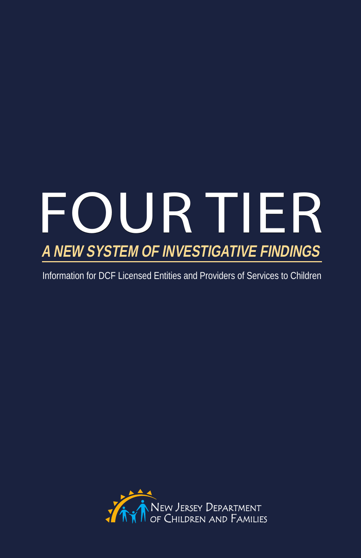# **FOUR TIER a New System of Investigative Findings**

Information for DCF Licensed Entities and Providers of Services to Children

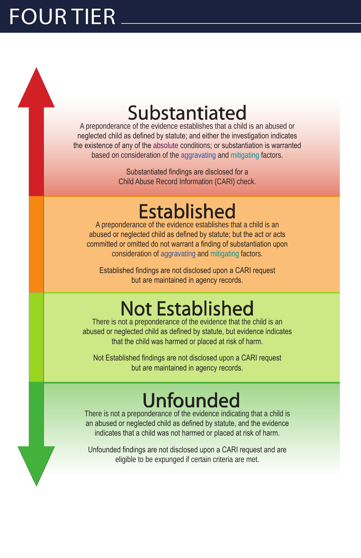# Four Tier

## Substantiated

A preponderance of the evidence establishes that a child is an abused or neglected child as defined by statute; and either the investigation indicates the existence of any of the absolute conditions; or substantiation is warranted based on consideration of the aggravating and mitigating factors.

> Substantiated findings are disclosed for a Child Abuse Record Information (CARI) check.

### Established

A preponderance of the evidence establishes that a child is an abused or neglected child as defined by statute; but the act or acts committed or omitted do not warrant a finding of substantiation upon consideration of aggravating and mitigating factors.

Established findings are not disclosed upon a CARI request but are maintained in agency records.

## Not Established

There is not a preponderance of the evidence that the child is an abused or neglected child as defined by statute, but evidence indicates that the child was harmed or placed at risk of harm.

Not Established findings are not disclosed upon a CARI request but are maintained in agency records.

### Unfounded

There is not a preponderance of the evidence indicating that a child is an abused or neglected child as defined by statute, and the evidence indicates that a child was not harmed or placed at risk of harm.

Unfounded findings are not disclosed upon a CARI request and are eligible to be expunged if certain criteria are met.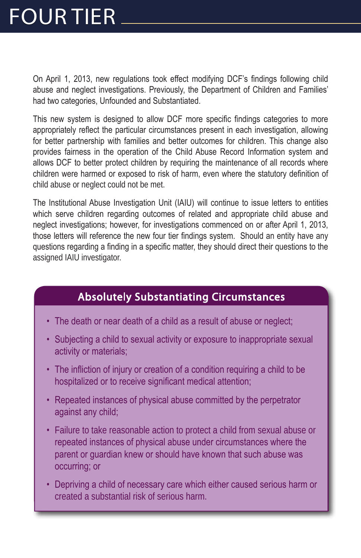# Four Tier

On April 1, 2013, new regulations took effect modifying DCF's findings following child abuse and neglect investigations. Previously, the Department of Children and Families' had two categories, Unfounded and Substantiated.

This new system is designed to allow DCF more specific findings categories to more appropriately reflect the particular circumstances present in each investigation, allowing for better partnership with families and better outcomes for children. This change also provides fairness in the operation of the Child Abuse Record Information system and allows DCF to better protect children by requiring the maintenance of all records where children were harmed or exposed to risk of harm, even where the statutory definition of child abuse or neglect could not be met.

The Institutional Abuse Investigation Unit (IAIU) will continue to issue letters to entities which serve children regarding outcomes of related and appropriate child abuse and neglect investigations; however, for investigations commenced on or after April 1, 2013, those letters will reference the new four tier findings system. Should an entity have any questions regarding a finding in a specific matter, they should direct their questions to the assigned IAIU investigator.

#### Absolutely Substantiating Circumstances

- The death or near death of a child as a result of abuse or neglect;
- Subjecting a child to sexual activity or exposure to inappropriate sexual activity or materials;
- The infliction of injury or creation of a condition requiring a child to be hospitalized or to receive significant medical attention;
- Repeated instances of physical abuse committed by the perpetrator against any child;
- Failure to take reasonable action to protect a child from sexual abuse or repeated instances of physical abuse under circumstances where the parent or guardian knew or should have known that such abuse was occurring; or
- Depriving a child of necessary care which either caused serious harm or created a substantial risk of serious harm.